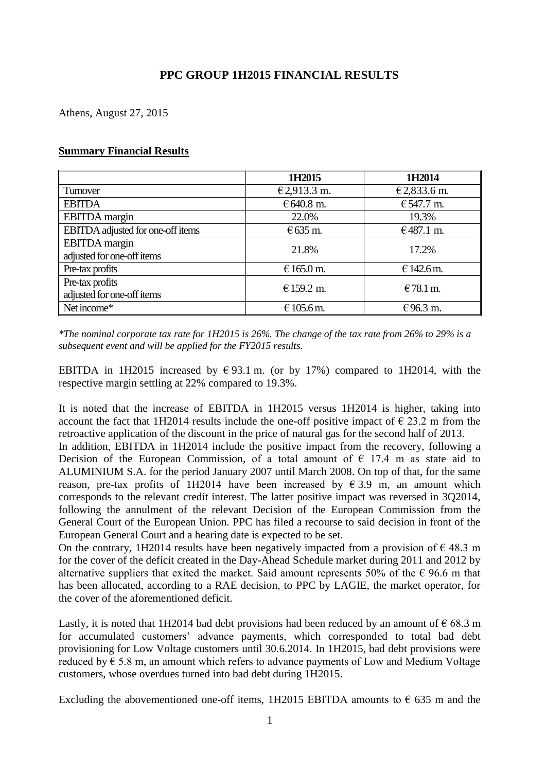# **PPC GROUP 1H2015 FINANCIAL RESULTS**

Athens, August 27, 2015

#### **Summary Financial Results**

|                                   | 1H2015            | 1H2014      |
|-----------------------------------|-------------------|-------------|
| Turnover                          | €2,913.3 m.       | €2,833.6 m. |
| <b>EBITDA</b>                     | €640.8 m.         | € 547.7 m.  |
| <b>EBITDA</b> margin              | 22.0%             | 19.3%       |
| EBITDA adjusted for one-off items | $\epsilon$ 635 m. | €487.1 m.   |
| <b>EBITDA</b> margin              | 21.8%             | 17.2%       |
| adjusted for one-off items        |                   |             |
| Pre-tax profits                   | € 165.0 m.        | € 142.6 m.  |
| Pre-tax profits                   | € 159.2 m.        | $€78.1$ m.  |
| adjusted for one-off items        |                   |             |
| Net income*                       | € 105.6 m.        | €96.3 m.    |

*\*The nominal corporate tax rate for 1H2015 is 26%. The change of the tax rate from 26% to 29% is a subsequent event and will be applied for the FY2015 results.*

ΕΒΙΤDΑ in 1H2015 increased by € 93.1 m. (or by 17%) compared to 1H2014, with the respective margin settling at 22% compared to 19.3%.

It is noted that the increase of EBITDA in 1H2015 versus 1H2014 is higher, taking into account the fact that 1H2014 results include the one-off positive impact of  $\epsilon$  23.2 m from the retroactive application of the discount in the price of natural gas for the second half of 2013.

In addition, EBITDA in 1H2014 include the positive impact from the recovery, following a Decision of the European Commission, of a total amount of  $\epsilon$  17.4 m as state aid to ALUMINIUM S.A. for the period January 2007 until March 2008. On top of that, for the same reason, pre-tax profits of 1H2014 have been increased by  $\epsilon$  3.9 m, an amount which corresponds to the relevant credit interest. The latter positive impact was reversed in 3Q2014, following the annulment of the relevant Decision of the European Commission from the General Court of the European Union. PPC has filed a recourse to said decision in front of the European General Court and a hearing date is expected to be set.

On the contrary, 1H2014 results have been negatively impacted from a provision of  $\epsilon$  48.3 m for the cover of the deficit created in the Day-Ahead Schedule market during 2011 and 2012 by alternative suppliers that exited the market. Said amount represents 50% of the  $\epsilon$  96.6 m that has been allocated, according to a RAE decision, to PPC by LAGIE, the market operator, for the cover of the aforementioned deficit.

Lastly, it is noted that 1H2014 bad debt provisions had been reduced by an amount of  $\epsilon$  68.3 m for accumulated customers' advance payments, which corresponded to total bad debt provisioning for Low Voltage customers until 30.6.2014. In 1H2015, bad debt provisions were reduced by  $\epsilon$  5.8 m, an amount which refers to advance payments of Low and Medium Voltage customers, whose overdues turned into bad debt during 1H2015.

Excluding the abovementioned one-off items, 1H2015 EBITDA amounts to  $\epsilon$  635 m and the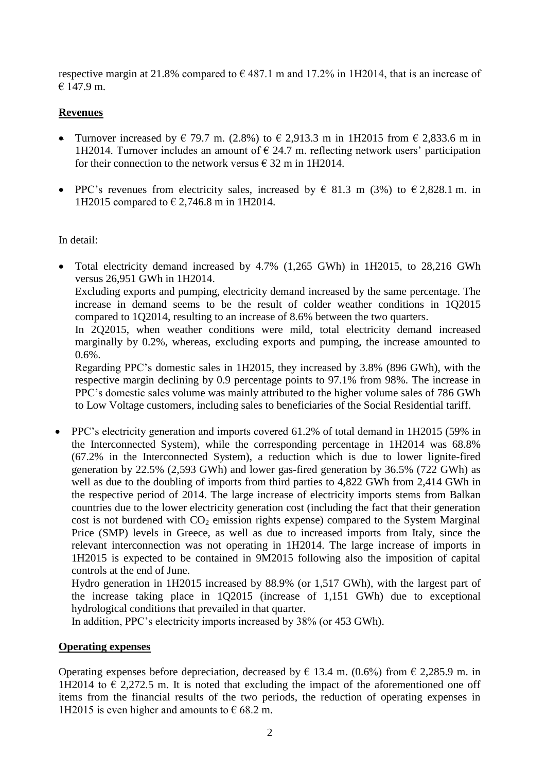respective margin at 21.8% compared to  $\epsilon$  487.1 m and 17.2% in 1H2014, that is an increase of € 147.9 m.

### **Revenues**

- Turnover increased by  $\in$  79.7 m. (2.8%) to  $\in$  2,913.3 m in 1H2015 from  $\in$  2,833.6 m in 1H2014. Turnover includes an amount of  $\epsilon$  24.7 m. reflecting network users' participation for their connection to the network versus  $\epsilon$  32 m in 1H2014.
- PPC's revenues from electricity sales, increased by  $\in$  81.3 m (3%) to  $\in$  2,828.1 m. in 1H2015 compared to € 2,746.8 m in 1H2014.

#### In detail:

 Total electricity demand increased by 4.7% (1,265 GWh) in 1H2015, to 28,216 GWh versus 26,951 GWh in 1H2014.

Excluding exports and pumping, electricity demand increased by the same percentage. The increase in demand seems to be the result of colder weather conditions in 1Q2015 compared to 1Q2014, resulting to an increase of 8.6% between the two quarters.

In 2Q2015, when weather conditions were mild, total electricity demand increased marginally by 0.2%, whereas, excluding exports and pumping, the increase amounted to 0.6%.

Regarding PPC's domestic sales in 1H2015, they increased by 3.8% (896 GWh), with the respective margin declining by 0.9 percentage points to 97.1% from 98%. The increase in PPC's domestic sales volume was mainly attributed to the higher volume sales of 786 GWh to Low Voltage customers, including sales to beneficiaries of the Social Residential tariff.

 PPC's electricity generation and imports covered 61.2% of total demand in 1H2015 (59% in the Interconnected System), while the corresponding percentage in 1H2014 was 68.8% (67.2% in the Interconnected System), a reduction which is due to lower lignite-fired generation by 22.5% (2,593 GWh) and lower gas-fired generation by 36.5% (722 GWh) as well as due to the doubling of imports from third parties to 4,822 GWh from 2,414 GWh in the respective period of 2014. The large increase of electricity imports stems from Balkan countries due to the lower electricity generation cost (including the fact that their generation cost is not burdened with  $CO<sub>2</sub>$  emission rights expense) compared to the System Marginal Price (SMP) levels in Greece, as well as due to increased imports from Italy, since the relevant interconnection was not operating in 1H2014. The large increase of imports in 1H2015 is expected to be contained in 9M2015 following also the imposition of capital controls at the end of June.

Hydro generation in 1H2015 increased by 88.9% (or 1,517 GWh), with the largest part of the increase taking place in 1Q2015 (increase of 1,151 GWh) due to exceptional hydrological conditions that prevailed in that quarter.

In addition, PPC's electricity imports increased by 38% (or 453 GWh).

#### **Operating expenses**

Operating expenses before depreciation, decreased by  $\epsilon$  13.4 m. (0.6%) from  $\epsilon$  2,285.9 m. in 1H2014 to  $\epsilon$  2,272.5 m. It is noted that excluding the impact of the aforementioned one off items from the financial results of the two periods, the reduction of operating expenses in 1H2015 is even higher and amounts to  $\epsilon$  68.2 m.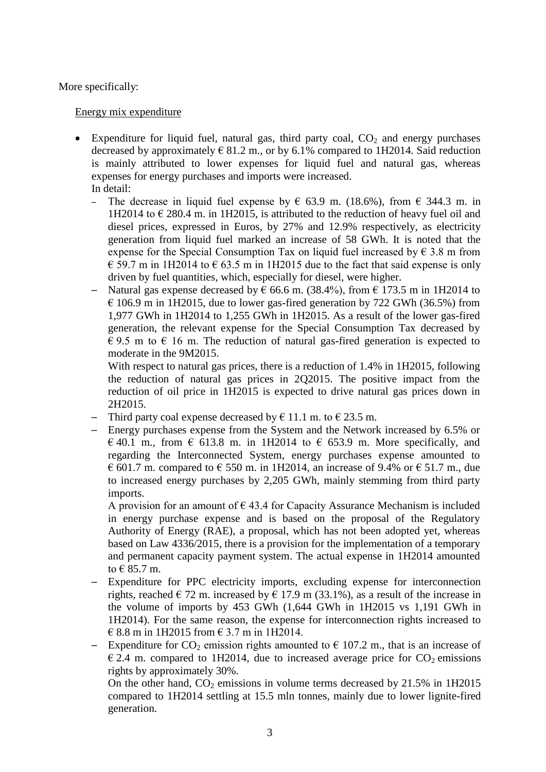More specifically:

#### Energy mix expenditure

- $\bullet$  Expenditure for liquid fuel, natural gas, third party coal,  $CO<sub>2</sub>$  and energy purchases decreased by approximately  $\in$  81.2 m., or by 6.1% compared to 1H2014. Said reduction is mainly attributed to lower expenses for liquid fuel and natural gas, whereas expenses for energy purchases and imports were increased. In detail:
	- The decrease in liquid fuel expense by  $\epsilon$  63.9 m. (18.6%), from  $\epsilon$  344.3 m. in 1H2014 to  $\epsilon$  280.4 m. in 1H2015, is attributed to the reduction of heavy fuel oil and diesel prices, expressed in Euros, by 27% and 12.9% respectively, as electricity generation from liquid fuel marked an increase of 58 GWh. It is noted that the expense for the Special Consumption Tax on liquid fuel increased by  $\epsilon$  3.8 m from  $\epsilon$  59.7 m in 1H2014 to  $\epsilon$  63.5 m in 1H2015 due to the fact that said expense is only driven by fuel quantities, which, especially for diesel, were higher.
	- $\overline{ }$  Natural gas expense decreased by € 66.6 m. (38.4%), from € 173.5 m in 1H2014 to  $\epsilon$  106.9 m in 1H2015, due to lower gas-fired generation by 722 GWh (36.5%) from 1,977 GWh in 1H2014 to 1,255 GWh in 1H2015. As a result of the lower gas-fired generation, the relevant expense for the Special Consumption Tax decreased by  $\epsilon$  9.5 m to  $\epsilon$  16 m. The reduction of natural gas-fired generation is expected to moderate in the 9M2015.

With respect to natural gas prices, there is a reduction of 1.4% in 1H2015, following the reduction of natural gas prices in 2Q2015. The positive impact from the reduction of oil price in 1H2015 is expected to drive natural gas prices down in 2H2015.

- Third party coal expense decreased by  $\epsilon$  11.1 m. to  $\epsilon$  23.5 m.
- ─ Energy purchases expense from the System and the Network increased by 6.5% or  $\in$  40.1 m., from  $\in$  613.8 m. in 1H2014 to  $\in$  653.9 m. More specifically, and regarding the Interconnected System, energy purchases expense amounted to  $\epsilon$  601.7 m. compared to  $\epsilon$  550 m. in 1H2014, an increase of 9.4% or  $\epsilon$  51.7 m., due to increased energy purchases by 2,205 GWh, mainly stemming from third party imports.

A provision for an amount of  $\epsilon$  43.4 for Capacity Assurance Mechanism is included in energy purchase expense and is based on the proposal of the Regulatory Authority of Energy (RAE), a proposal, which has not been adopted yet, whereas based on Law 4336/2015, there is a provision for the implementation of a temporary and permanent capacity payment system. The actual expense in 1H2014 amounted to  $\in$  85.7 m.

- Expenditure for PPC electricity imports, excluding expense for interconnection rights, reached  $\in$  72 m. increased by  $\in$  17.9 m (33.1%), as a result of the increase in the volume of imports by 453 GWh (1,644 GWh in 1H2015 vs 1,191 GWh in 1H2014). For the same reason, the expense for interconnection rights increased to € 8.8 m in 1H2015 from € 3.7 m in 1H2014.
- Expenditure for  $CO_2$  emission rights amounted to  $\epsilon$  107.2 m., that is an increase of  $\epsilon$  2.4 m. compared to 1H2014, due to increased average price for CO<sub>2</sub> emissions rights by approximately 30%.

On the other hand,  $CO<sub>2</sub>$  emissions in volume terms decreased by 21.5% in 1H2015 compared to 1H2014 settling at 15.5 mln tonnes, mainly due to lower lignite-fired generation.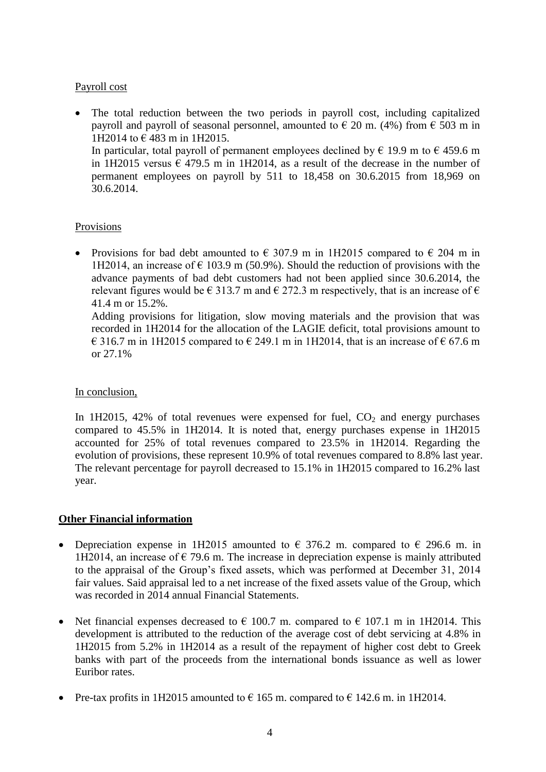## Payroll cost

 The total reduction between the two periods in payroll cost, including capitalized payroll and payroll of seasonal personnel, amounted to  $\in$  20 m. (4%) from  $\in$  503 m in 1H2014 to € 483 m in 1H2015. In particular, total payroll of permanent employees declined by  $\epsilon$  19.9 m to  $\epsilon$  459.6 m in 1H2015 versus  $\epsilon$  479.5 m in 1H2014, as a result of the decrease in the number of permanent employees on payroll by 511 to 18,458 on 30.6.2015 from 18,969 on 30.6.2014.

### Provisions

• Provisions for bad debt amounted to  $\epsilon$  307.9 m in 1H2015 compared to  $\epsilon$  204 m in 1H2014, an increase of  $\epsilon$  103.9 m (50.9%). Should the reduction of provisions with the advance payments of bad debt customers had not been applied since 30.6.2014, the relevant figures would be  $\in$  313.7 m and  $\in$  272.3 m respectively, that is an increase of  $\in$ 41.4 m or 15.2%.

Adding provisions for litigation, slow moving materials and the provision that was recorded in 1H2014 for the allocation of the LAGIE deficit, total provisions amount to € 316.7 m in 1H2015 compared to  $∈$  249.1 m in 1H2014, that is an increase of  $∈$  67.6 m or 27.1%

### In conclusion,

In 1H2015, 42% of total revenues were expensed for fuel,  $CO<sub>2</sub>$  and energy purchases compared to 45.5% in 1H2014. It is noted that, energy purchases expense in 1H2015 accounted for 25% of total revenues compared to 23.5% in 1H2014. Regarding the evolution of provisions, these represent 10.9% of total revenues compared to 8.8% last year. The relevant percentage for payroll decreased to 15.1% in 1H2015 compared to 16.2% last year.

### **Other Financial information**

- Depreciation expense in 1H2015 amounted to  $\epsilon$  376.2 m. compared to  $\epsilon$  296.6 m. in 1H2014, an increase of  $\epsilon$  79.6 m. The increase in depreciation expense is mainly attributed to the appraisal of the Group's fixed assets, which was performed at December 31, 2014 fair values. Said appraisal led to a net increase of the fixed assets value of the Group, which was recorded in 2014 annual Financial Statements.
- Net financial expenses decreased to  $\epsilon$  100.7 m. compared to  $\epsilon$  107.1 m in 1H2014. This development is attributed to the reduction of the average cost of debt servicing at 4.8% in 1H2015 from 5.2% in 1H2014 as a result of the repayment of higher cost debt to Greek banks with part of the proceeds from the international bonds issuance as well as lower Euribor rates.
- Pre-tax profits in 1H2015 amounted to  $\epsilon$  165 m. compared to  $\epsilon$  142.6 m. in 1H2014.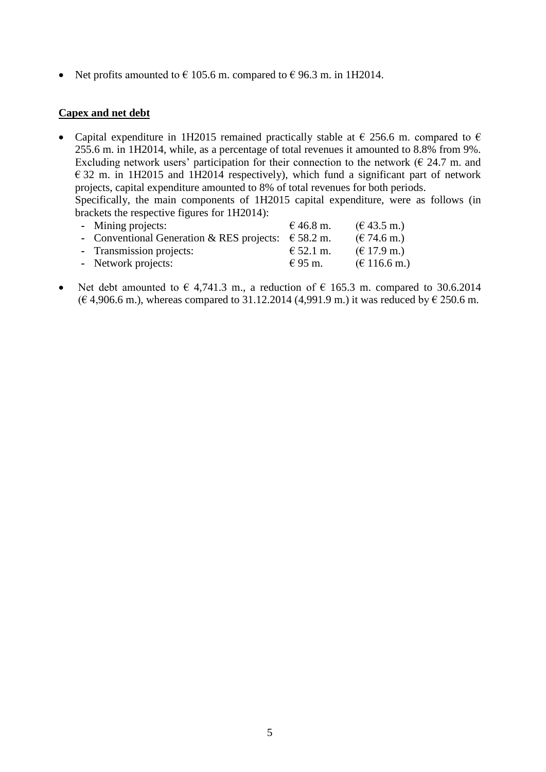• Net profits amounted to  $\in$  105.6 m. compared to  $\in$  96.3 m. in 1H2014.

#### **Capex and net debt**

• Capital expenditure in 1H2015 remained practically stable at  $\epsilon$  256.6 m. compared to  $\epsilon$ 255.6 m. in 1H2014, while, as a percentage of total revenues it amounted to 8.8% from 9%. Excluding network users' participation for their connection to the network ( $\epsilon$  24.7 m. and  $\epsilon$  32 m. in 1H2015 and 1H2014 respectively), which fund a significant part of network projects, capital expenditure amounted to 8% of total revenues for both periods. Specifically, the main components of 1H2015 capital expenditure, were as follows (in brackets the respective figures for 1H2014):

| - Mining projects:                                           | € 46.8 m.   | $(\text{\textsterling} 43.5 \text{ m.})$  |
|--------------------------------------------------------------|-------------|-------------------------------------------|
| - Conventional Generation & RES projects: $\epsilon$ 58.2 m. |             | $(\text{€ } 74.6 \text{ m.})$             |
| - Transmission projects:                                     | € 52.1 m.   | $(\text{€ }17.9 \text{ m.})$              |
| - Network projects:                                          | $\in$ 95 m. | $(\text{\textsterling} 116.6 \text{ m.})$ |

Net debt amounted to  $\epsilon$  4,741.3 m., a reduction of  $\epsilon$  165.3 m. compared to 30.6.2014 (€ 4,906.6 m.), whereas compared to 31.12.2014 (4,991.9 m.) it was reduced by € 250.6 m.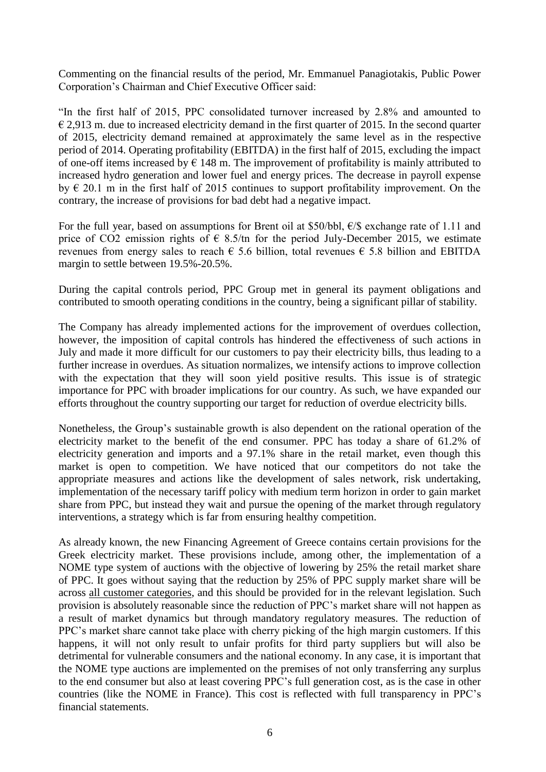Commenting on the financial results of the period, Mr. Emmanuel Panagiotakis, Public Power Corporation's Chairman and Chief Executive Officer said:

"In the first half of 2015, PPC consolidated turnover increased by 2.8% and amounted to  $\epsilon$  2,913 m. due to increased electricity demand in the first quarter of 2015. In the second quarter of 2015, electricity demand remained at approximately the same level as in the respective period of 2014. Operating profitability (EBITDA) in the first half of 2015, excluding the impact of one-off items increased by  $\epsilon$  148 m. The improvement of profitability is mainly attributed to increased hydro generation and lower fuel and energy prices. The decrease in payroll expense by  $\epsilon$  20.1 m in the first half of 2015 continues to support profitability improvement. On the contrary, the increase of provisions for bad debt had a negative impact.

For the full year, based on assumptions for Brent oil at \$50/bbl,  $\epsilon$ /\$ exchange rate of 1.11 and price of CO2 emission rights of  $\epsilon$  8.5/tn for the period July-December 2015, we estimate revenues from energy sales to reach  $\epsilon$  5.6 billion, total revenues  $\epsilon$  5.8 billion and EBITDA margin to settle between 19.5%-20.5%.

During the capital controls period, PPC Group met in general its payment obligations and contributed to smooth operating conditions in the country, being a significant pillar of stability.

The Company has already implemented actions for the improvement of overdues collection, however, the imposition of capital controls has hindered the effectiveness of such actions in July and made it more difficult for our customers to pay their electricity bills, thus leading to a further increase in overdues. As situation normalizes, we intensify actions to improve collection with the expectation that they will soon yield positive results. This issue is of strategic importance for PPC with broader implications for our country. As such, we have expanded our efforts throughout the country supporting our target for reduction of overdue electricity bills.

Nonetheless, the Group's sustainable growth is also dependent on the rational operation of the electricity market to the benefit of the end consumer. PPC has today a share of 61.2% of electricity generation and imports and a 97.1% share in the retail market, even though this market is open to competition. We have noticed that our competitors do not take the appropriate measures and actions like the development of sales network, risk undertaking, implementation of the necessary tariff policy with medium term horizon in order to gain market share from PPC, but instead they wait and pursue the opening of the market through regulatory interventions, a strategy which is far from ensuring healthy competition.

As already known, the new Financing Agreement of Greece contains certain provisions for the Greek electricity market. These provisions include, among other, the implementation of a NOME type system of auctions with the objective of lowering by 25% the retail market share of PPC. It goes without saying that the reduction by 25% of PPC supply market share will be across all customer categories, and this should be provided for in the relevant legislation. Such provision is absolutely reasonable since the reduction of PPC's market share will not happen as a result of market dynamics but through mandatory regulatory measures. The reduction of PPC's market share cannot take place with cherry picking of the high margin customers. If this happens, it will not only result to unfair profits for third party suppliers but will also be detrimental for vulnerable consumers and the national economy. In any case, it is important that the NOME type auctions are implemented on the premises of not only transferring any surplus to the end consumer but also at least covering PPC's full generation cost, as is the case in other countries (like the NOME in France). This cost is reflected with full transparency in PPC's financial statements.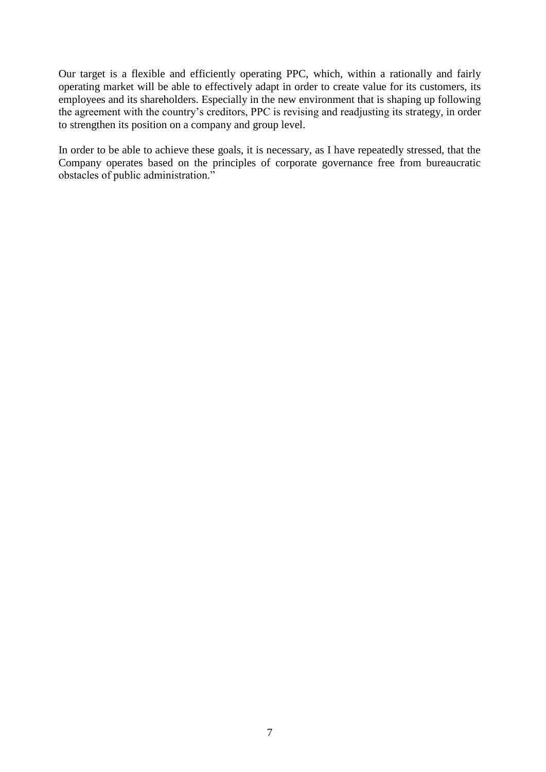Our target is a flexible and efficiently operating PPC, which, within a rationally and fairly operating market will be able to effectively adapt in order to create value for its customers, its employees and its shareholders. Especially in the new environment that is shaping up following the agreement with the country's creditors, PPC is revising and readjusting its strategy, in order to strengthen its position on a company and group level.

In order to be able to achieve these goals, it is necessary, as I have repeatedly stressed, that the Company operates based on the principles of corporate governance free from bureaucratic obstacles of public administration."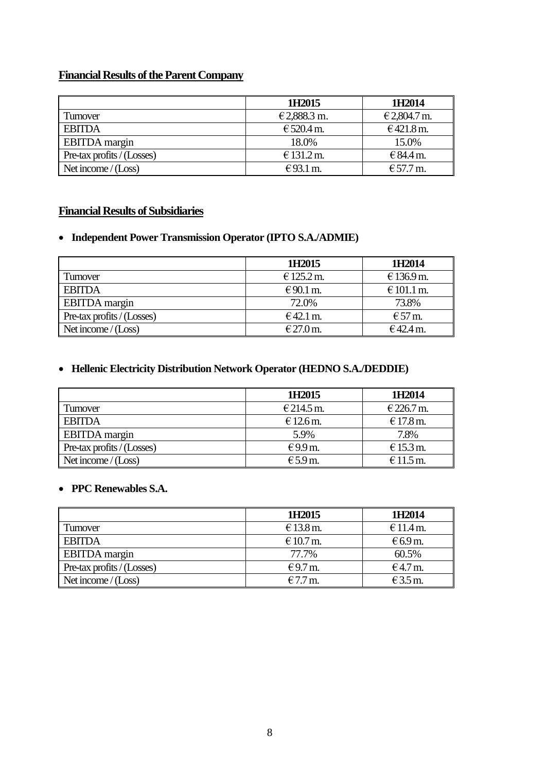# **Financial Results of the Parent Company**

|                                           | 1H2015      | 1H2014       |
|-------------------------------------------|-------------|--------------|
| Turnover                                  | €2,888.3 m. | € 2,804.7 m. |
| <b>EBITDA</b>                             | € 520.4 m.  | €421.8 m.    |
| <b>EBITDA</b> margin                      | 18.0%       | 15.0%        |
| $\blacksquare$ Pre-tax profits / (Losses) | € 131.2 m.  | € $84.4$ m.  |
| Net income $/(Loss)$                      | €93.1 m.    | € 57.7 m.    |

# **Financial Results of Subsidiaries**

# **Independent Power Transmission Operator (IPTO S.A./ADMIE)**

|                            | 1H2015     | 1H2014                   |
|----------------------------|------------|--------------------------|
| Turnover                   | € 125.2 m. | € 136.9 m.               |
| <b>EBITDA</b>              | $€90.1$ m. | € 101.1 m.               |
| <b>EBITDA</b> margin       | 72.0%      | 73.8%                    |
| Pre-tax profits / (Losses) | $€42.1$ m. | $\text{E}57 \text{ m}$ . |
| Net income $/(Loss)$       | € 27.0 m.  | €42.4 m.                 |

# **Hellenic Electricity Distribution Network Operator (HEDNO S.A./DEDDIE)**

|                            | 1H2015     | 1H <sub>2014</sub> |
|----------------------------|------------|--------------------|
| Turnover                   | € 214.5 m. | € 226.7 m.         |
| <b>EBITDA</b>              | $€12.6$ m. | € 17.8 m.          |
| <b>EBITDA</b> margin       | 5.9%       | 7.8%               |
| Pre-tax profits / (Losses) | $€9.9$ m.  | $E$ 15.3 m.        |
| Net income $/(Loss)$       | $E$ 5.9 m. | $€11.5$ m.         |

# **PPC Renewables S.A.**

|                             | 1H2015     | 1H2014            |
|-----------------------------|------------|-------------------|
| <b>Turnover</b>             | € 13.8 m.  | $€11.4$ m.        |
| <b>EBITDA</b>               | $€10.7$ m. | $\epsilon$ 6.9 m. |
| <b>EBITDA</b> margin        | 77.7%      | 60.5%             |
| Pre-tax profits $/(Losses)$ | €9.7 m.    | $€4.7$ m.         |
| Net income $/(Loss)$        | $€7.7$ m.  | $€3.5$ m.         |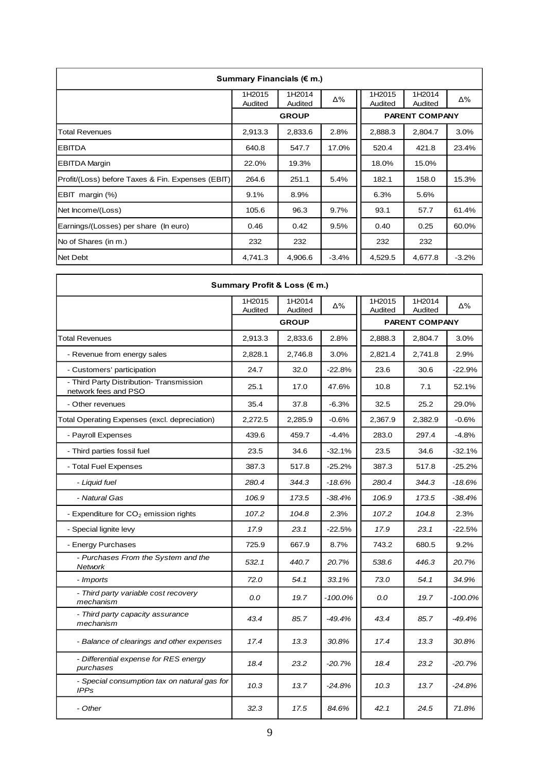| Summary Financials ( $\epsilon$ m.)               |                   |                   |         |                   |                       |         |  |  |
|---------------------------------------------------|-------------------|-------------------|---------|-------------------|-----------------------|---------|--|--|
|                                                   | 1H2015<br>Audited | 1H2014<br>Audited | Δ%      | 1H2015<br>Audited | 1H2014<br>Audited     | Δ%      |  |  |
|                                                   |                   | <b>GROUP</b>      |         |                   | <b>PARENT COMPANY</b> |         |  |  |
| Total Revenues                                    | 2,913.3           | 2,833.6           | 2.8%    | 2,888.3           | 2,804.7               | 3.0%    |  |  |
| <b>EBITDA</b>                                     | 640.8             | 547.7             | 17.0%   | 520.4             | 421.8                 | 23.4%   |  |  |
| <b>EBITDA Margin</b>                              | 22.0%             | 19.3%             |         | 18.0%             | 15.0%                 |         |  |  |
| Profit/(Loss) before Taxes & Fin. Expenses (EBIT) | 264.6             | 251.1             | 5.4%    | 182.1             | 158.0                 | 15.3%   |  |  |
| EBIT margin (%)                                   | 9.1%              | 8.9%              |         | 6.3%              | 5.6%                  |         |  |  |
| Net Income/(Loss)                                 | 105.6             | 96.3              | 9.7%    | 93.1              | 57.7                  | 61.4%   |  |  |
| Earnings/(Losses) per share (In euro)             | 0.46              | 0.42              | 9.5%    | 0.40              | 0.25                  | 60.0%   |  |  |
| No of Shares (in m.)                              | 232               | 232               |         | 232               | 232                   |         |  |  |
| Net Debt                                          | 4,741.3           | 4,906.6           | $-3.4%$ | 4,529.5           | 4.677.8               | $-3.2%$ |  |  |

٦

| Summary Profit & Loss (€ m.)                                     |                   |                   |            |                       |                   |          |  |  |
|------------------------------------------------------------------|-------------------|-------------------|------------|-----------------------|-------------------|----------|--|--|
|                                                                  | 1H2015<br>Audited | 1H2014<br>Audited | Δ%         | 1H2015<br>Audited     | 1H2014<br>Audited | Δ%       |  |  |
|                                                                  |                   | <b>GROUP</b>      |            | <b>PARENT COMPANY</b> |                   |          |  |  |
| <b>Total Revenues</b>                                            | 2,913.3           | 2,833.6           | 2.8%       | 2,888.3               | 2,804.7           | 3.0%     |  |  |
| - Revenue from energy sales                                      | 2,828.1           | 2,746.8           | 3.0%       | 2,821.4               | 2,741.8           | 2.9%     |  |  |
| - Customers' participation                                       | 24.7              | 32.0              | $-22.8%$   | 23.6                  | 30.6              | $-22.9%$ |  |  |
| - Third Party Distribution- Transmission<br>network fees and PSO | 25.1              | 17.0              | 47.6%      | 10.8                  | 7.1               | 52.1%    |  |  |
| - Other revenues                                                 | 35.4              | 37.8              | $-6.3%$    | 32.5                  | 25.2              | 29.0%    |  |  |
| Total Operating Expenses (excl. depreciation)                    | 2,272.5           | 2,285.9           | $-0.6%$    | 2,367.9               | 2,382.9           | $-0.6%$  |  |  |
| - Payroll Expenses                                               | 439.6             | 459.7             | $-4.4%$    | 283.0                 | 297.4             | $-4.8%$  |  |  |
| - Third parties fossil fuel                                      | 23.5              | 34.6              | $-32.1%$   | 23.5                  | 34.6              | $-32.1%$ |  |  |
| - Total Fuel Expenses                                            | 387.3             | 517.8             | $-25.2%$   | 387.3                 | 517.8             | $-25.2%$ |  |  |
| - Liquid fuel                                                    | 280.4             | 344.3             | $-18.6%$   | 280.4                 | 344.3             | $-18.6%$ |  |  |
| - Natural Gas                                                    | 106.9             | 173.5             | $-38.4%$   | 106.9                 | 173.5             | $-38.4%$ |  |  |
| - Expenditure for $CO2$ emission rights                          | 107.2             | 104.8             | 2.3%       | 107.2                 | 104.8             | 2.3%     |  |  |
| - Special lignite levy                                           | 17.9              | 23.1              | $-22.5%$   | 17.9                  | 23.1              | $-22.5%$ |  |  |
| - Energy Purchases                                               | 725.9             | 667.9             | 8.7%       | 743.2                 | 680.5             | 9.2%     |  |  |
| - Purchases From the System and the<br><b>Network</b>            | 532.1             | 440.7             | 20.7%      | 538.6                 | 446.3             | 20.7%    |  |  |
| - Imports                                                        | 72.0              | 54.1              | 33.1%      | 73.0                  | 54.1              | 34.9%    |  |  |
| - Third party variable cost recovery<br>mechanism                | 0.0               | 19.7              | $-100.0\%$ | 0.0                   | 19.7              | -100.0%  |  |  |
| - Third party capacity assurance<br>mechanism                    | 43.4              | 85.7              | $-49.4%$   | 43.4                  | 85.7              | $-49.4%$ |  |  |
| - Balance of clearings and other expenses                        | 17.4              | 13.3              | 30.8%      | 17.4                  | 13.3              | 30.8%    |  |  |
| - Differential expense for RES energy<br>purchases               | 18.4              | 23.2              | $-20.7%$   | 18.4                  | 23.2              | $-20.7%$ |  |  |
| - Special consumption tax on natural gas for<br><b>IPPs</b>      | 10.3              | 13.7              | $-24.8%$   | 10.3                  | 13.7              | $-24.8%$ |  |  |
| - Other                                                          | 32.3              | 17.5              | 84.6%      | 42.1                  | 24.5              | 71.8%    |  |  |